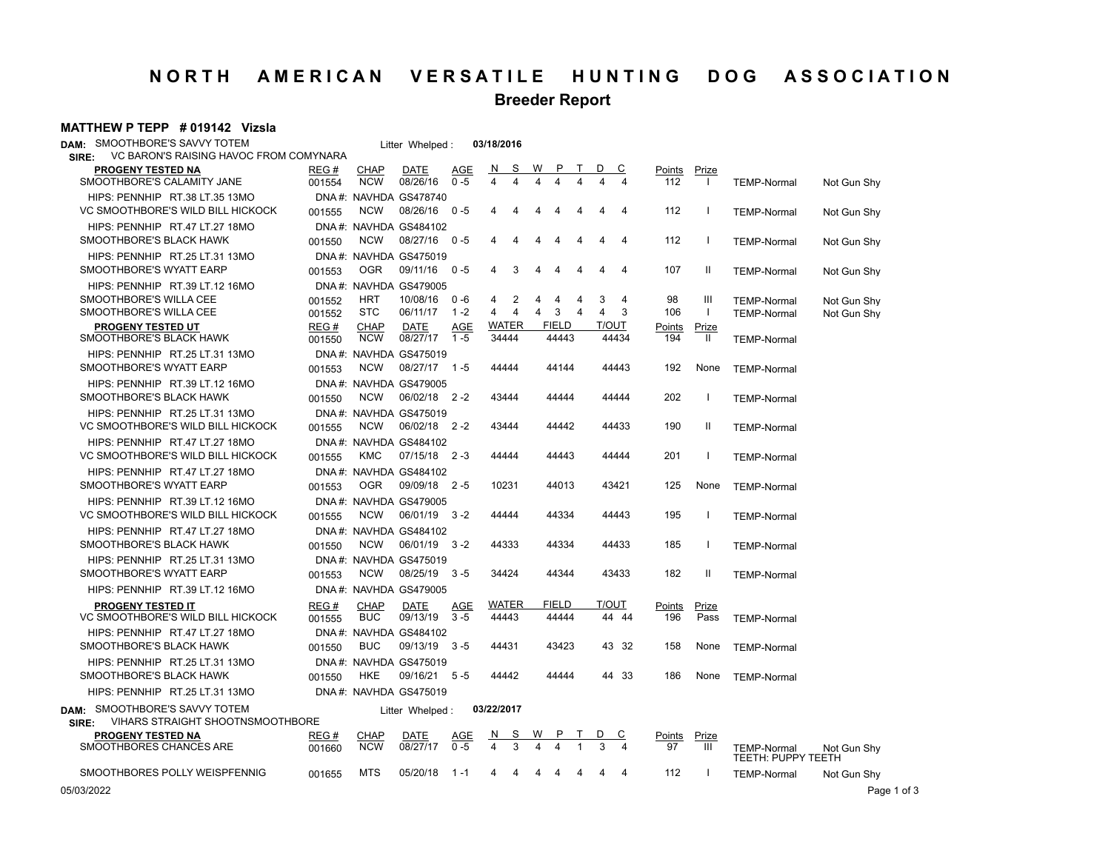# **NORTH AMERICAN VERSATILE HUNTING DOG ASSOCIATION**

**Breeder Report**

#### **MATTHEW P TEPP # 019142 Vizsla**

| DAM: SMOOTHBORE'S SAVVY TOTEM                                              |                 |                           | Litter Whelped:                       |                       | 03/18/2016           |   |                       |   |                |                |                      |                          |                    |             |
|----------------------------------------------------------------------------|-----------------|---------------------------|---------------------------------------|-----------------------|----------------------|---|-----------------------|---|----------------|----------------|----------------------|--------------------------|--------------------|-------------|
| VC BARON'S RAISING HAVOC FROM COMYNARA<br>SIRE:                            |                 |                           |                                       |                       |                      |   |                       |   |                |                |                      |                          |                    |             |
| <b>PROGENY TESTED NA</b><br>SMOOTHBORE'S CALAMITY JANE                     | REG #<br>001554 | <b>CHAP</b><br><b>NCW</b> | <b>DATE</b><br>08/26/16               | <b>AGE</b><br>$0 - 5$ | S<br>N<br>4<br>4     | W |                       | T | D              | <u>_C</u>      | Points Prize<br>112  | $\mathbf{I}$             | <b>TEMP-Normal</b> | Not Gun Shy |
| HIPS: PENNHIP RT.38 LT.35 13MO                                             |                 |                           | DNA#: NAVHDA GS478740                 |                       |                      |   |                       |   |                |                |                      |                          |                    |             |
| VC SMOOTHBORE'S WILD BILL HICKOCK                                          | 001555          | <b>NCW</b>                | 08/26/16                              | $0 - 5$               | 4<br>4               | 4 | 4                     | 4 | 4              | $\overline{4}$ | 112                  | -1                       | <b>TEMP-Normal</b> | Not Gun Shy |
| HIPS: PENNHIP RT.47 LT.27 18MO                                             |                 |                           | DNA#: NAVHDA GS484102                 |                       |                      |   |                       |   |                |                |                      |                          |                    |             |
| SMOOTHBORE'S BLACK HAWK                                                    | 001550          | <b>NCW</b>                | 08/27/16                              | $0 - 5$               | 4<br>4               | 4 | 4                     | 4 | 4              | $\overline{4}$ | 112                  | $\overline{\phantom{a}}$ | <b>TEMP-Normal</b> | Not Gun Shy |
| HIPS: PENNHIP RT.25 LT.31 13MO                                             |                 |                           | DNA#: NAVHDA GS475019                 |                       |                      |   |                       |   |                |                |                      |                          |                    |             |
| SMOOTHBORE'S WYATT EARP                                                    | 001553          | 0GR                       | 09/11/16 0-5                          |                       | 3<br>4               | 4 | 4                     | 4 | 4              | $\overline{4}$ | 107                  | Ш                        | <b>TEMP-Normal</b> | Not Gun Shy |
| HIPS: PENNHIP RT.39 LT.12 16MO                                             |                 |                           | DNA#: NAVHDA GS479005                 |                       |                      |   |                       |   |                |                |                      |                          |                    |             |
| SMOOTHBORE'S WILLA CEE                                                     | 001552          | <b>HRT</b>                | 10/08/16                              | $0 - 6$               | 2<br>4               | 4 | 4                     | 4 | 3              | 4              | 98                   | Ш                        | <b>TEMP-Normal</b> | Not Gun Shy |
| SMOOTHBORE'S WILLA CEE                                                     | 001552          | <b>STC</b>                | 06/11/17                              | $1 - 2$               | 4<br>$\overline{4}$  | 4 | 3                     | 4 | $\overline{4}$ | 3              | 106                  | $\mathbf{I}$             | <b>TEMP-Normal</b> | Not Gun Shy |
| <b>PROGENY TESTED UT</b><br>SMOOTHBORE'S BLACK HAWK                        | REG#<br>001550  | <b>CHAP</b><br><b>NCW</b> | DATE<br>08/27/17                      | <b>AGE</b><br>$1 - 5$ | WATER<br>34444       |   | <b>FIELD</b><br>44443 |   | <b>T/OUT</b>   | 44434          | <b>Points</b><br>194 | Prize<br>Ш               | <b>TEMP-Normal</b> |             |
| HIPS: PENNHIP RT.25 LT.31 13MO                                             |                 |                           | DNA#: NAVHDA GS475019                 |                       |                      |   |                       |   |                |                |                      |                          |                    |             |
| SMOOTHBORE'S WYATT EARP                                                    | 001553          | <b>NCW</b>                | 08/27/17 1-5                          |                       | 44444                |   | 44144                 |   |                | 44443          | 192                  | None                     | <b>TEMP-Normal</b> |             |
|                                                                            |                 |                           |                                       |                       |                      |   |                       |   |                |                |                      |                          |                    |             |
| HIPS: PENNHIP RT.39 LT.12 16MO<br>SMOOTHBORE'S BLACK HAWK                  |                 | <b>NCW</b>                | DNA#: NAVHDA GS479005<br>06/02/18 2-2 |                       | 43444                |   | 44444                 |   |                | 44444          | 202                  | $\overline{\phantom{a}}$ |                    |             |
|                                                                            | 001550          |                           |                                       |                       |                      |   |                       |   |                |                |                      |                          | <b>TEMP-Normal</b> |             |
| HIPS: PENNHIP RT.25 LT.31 13MO                                             |                 |                           | DNA#: NAVHDA GS475019                 |                       |                      |   |                       |   |                |                |                      |                          |                    |             |
| VC SMOOTHBORE'S WILD BILL HICKOCK                                          | 001555          | <b>NCW</b>                | 06/02/18 2-2                          |                       | 43444                |   | 44442                 |   |                | 44433          | 190                  | Ш                        | <b>TEMP-Normal</b> |             |
| HIPS: PENNHIP RT.47 LT.27 18MO                                             |                 |                           | DNA#: NAVHDA GS484102                 |                       |                      |   |                       |   |                |                |                      |                          |                    |             |
| VC SMOOTHBORE'S WILD BILL HICKOCK                                          | 001555          | KMC                       | 07/15/18 2-3                          |                       | 44444                |   | 44443                 |   |                | 44444          | 201                  | $\overline{\phantom{a}}$ | <b>TEMP-Normal</b> |             |
| HIPS: PENNHIP RT.47 LT.27 18MO                                             |                 |                           | DNA#: NAVHDA GS484102                 |                       |                      |   |                       |   |                |                |                      |                          |                    |             |
| SMOOTHBORE'S WYATT EARP                                                    | 001553          | 0GR                       | 09/09/18 2-5                          |                       | 10231                |   | 44013                 |   |                | 43421          | 125                  | None                     | <b>TEMP-Normal</b> |             |
| HIPS: PENNHIP RT.39 LT.12 16MO                                             |                 |                           | DNA#: NAVHDA GS479005                 |                       |                      |   |                       |   |                |                |                      |                          |                    |             |
| VC SMOOTHBORE'S WILD BILL HICKOCK                                          | 001555          | <b>NCW</b>                | 06/01/19                              | $3 - 2$               | 44444                |   | 44334                 |   |                | 44443          | 195                  | $\overline{\phantom{a}}$ | <b>TEMP-Normal</b> |             |
| HIPS: PENNHIP RT.47 LT.27 18MO                                             |                 |                           | DNA#: NAVHDA GS484102                 |                       |                      |   |                       |   |                |                |                      |                          |                    |             |
| SMOOTHBORE'S BLACK HAWK                                                    | 001550          | <b>NCW</b>                | 06/01/19 3-2                          |                       | 44333                |   | 44334                 |   |                | 44433          | 185                  | $\mathbf{I}$             | <b>TEMP-Normal</b> |             |
| HIPS: PENNHIP RT.25 LT.31 13MO                                             |                 |                           | DNA#: NAVHDA GS475019                 |                       |                      |   |                       |   |                |                |                      |                          |                    |             |
| SMOOTHBORE'S WYATT EARP                                                    | 001553          | <b>NCW</b>                | 08/25/19                              | $3 - 5$               | 34424                |   | 44344                 |   |                | 43433          | 182                  | H.                       | <b>TEMP-Normal</b> |             |
| HIPS: PENNHIP RT.39 LT.12 16MO                                             |                 |                           | DNA#: NAVHDA GS479005                 |                       |                      |   |                       |   |                |                |                      |                          |                    |             |
| <b>PROGENY TESTED IT</b>                                                   | REG#            | <b>CHAP</b>               | <b>DATE</b>                           | AGE                   | <b>WATER</b>         |   | <b>FIELD</b>          |   | T/OUT          |                | Points               | <u>Prize</u>             |                    |             |
| VC SMOOTHBORE'S WILD BILL HICKOCK                                          | 001555          | <b>BUC</b>                | 09/13/19                              | $3 - 5$               | 44443                |   | 44444                 |   |                | 44 44          | 196                  | Pass                     | <b>TEMP-Normal</b> |             |
| HIPS: PENNHIP RT.47 LT.27 18MO                                             |                 |                           | DNA#: NAVHDA GS484102                 |                       |                      |   |                       |   |                |                |                      |                          |                    |             |
| SMOOTHBORE'S BLACK HAWK                                                    | 001550          | <b>BUC</b>                | 09/13/19                              | $3 - 5$               | 44431                |   | 43423                 |   |                | 43 32          | 158                  | None                     | <b>TEMP-Normal</b> |             |
| HIPS: PENNHIP RT.25 LT.31 13MO                                             |                 |                           | DNA#: NAVHDA GS475019                 |                       |                      |   |                       |   |                |                |                      |                          |                    |             |
| SMOOTHBORE'S BLACK HAWK                                                    | 001550          | HKE                       | 09/16/21 5-5                          |                       | 44442                |   | 44444                 |   |                | 44 33          | 186                  | None                     | <b>TEMP-Normal</b> |             |
| HIPS: PENNHIP RT.25 LT.31 13MO                                             |                 |                           | DNA#: NAVHDA GS475019                 |                       |                      |   |                       |   |                |                |                      |                          |                    |             |
|                                                                            |                 |                           |                                       |                       |                      |   |                       |   |                |                |                      |                          |                    |             |
| DAM: SMOOTHBORE'S SAVVY TOTEM<br>VIHARS STRAIGHT SHOOTNSMOOTHBORE<br>SIRE: |                 |                           | Litter Whelped:                       |                       | 03/22/2017           |   |                       |   |                |                |                      |                          |                    |             |
| <b>PROGENY TESTED NA</b>                                                   | REG #           | <b>CHAP</b>               | DATE                                  | AGE                   | <u>N</u><br><u>s</u> |   |                       |   |                | <u>C</u>       | Points               | Prize                    |                    |             |
| SMOOTHBORES CHANCES ARE                                                    | 001660          | <b>NCW</b>                | 08/27/17                              | $0 - 5$               | 3<br>4               |   |                       |   |                |                | 97                   | Ш                        | <b>TEMP-Normal</b> | Not Gun Shy |
|                                                                            |                 |                           |                                       |                       |                      |   |                       |   |                |                |                      |                          | TEETH: PUPPY TEETH |             |
| SMOOTHBORES POLLY WEISPFENNIG                                              | 001655          | <b>MTS</b>                | 05/20/18                              | 1 - 1                 | 4<br>4               | 4 |                       |   | 4              | $\overline{4}$ | 112                  | $\mathbf{I}$             | <b>TEMP-Normal</b> | Not Gun Shy |
| 05/03/2022                                                                 |                 |                           |                                       |                       |                      |   |                       |   |                |                |                      |                          |                    | Page 1 of 3 |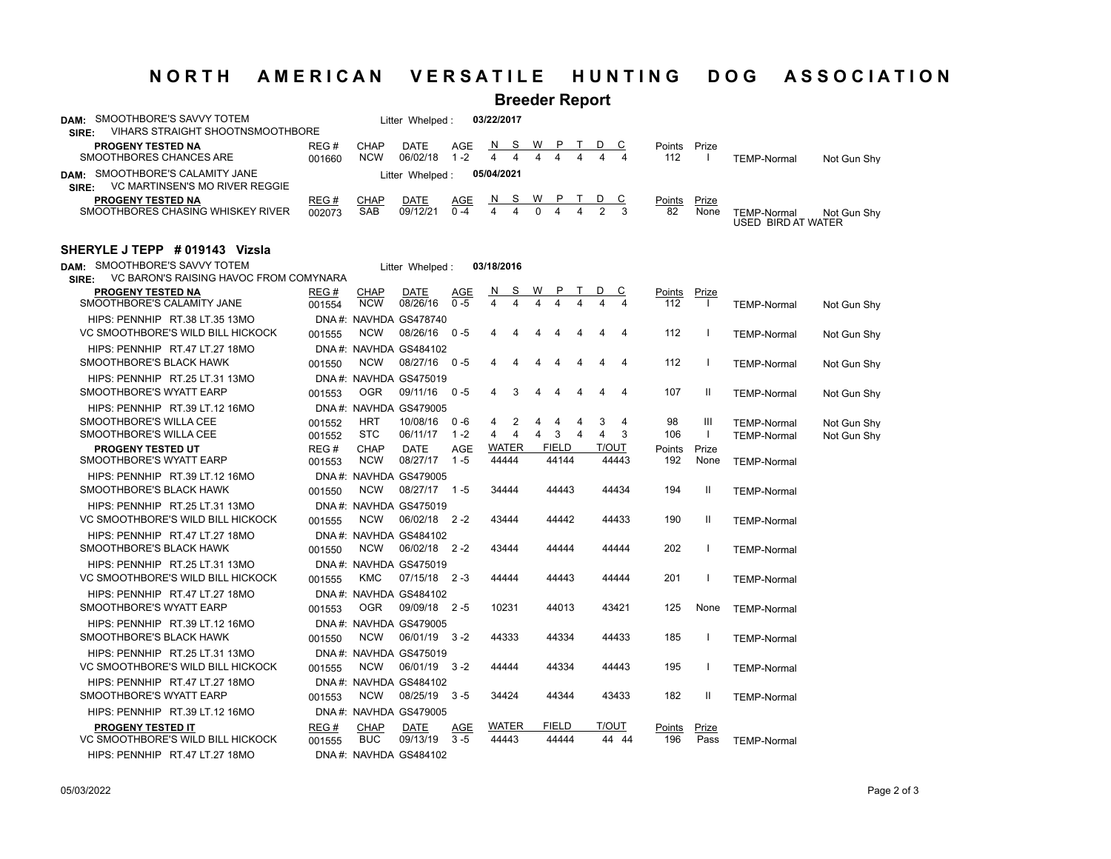## **NORTH AMERICAN VERSATILE HUNTING DOG ASSOCIATION**

## **Breeder Report**

| SMOOTHBORE'S SAVVY TOTEM<br>DAM:<br><b>VIHARS STRAIGHT SHOOTNSMOOTHBORE</b><br>SIRE: |                |                               | Litter Whelped:  |             | 03/22/2017 |     |    |     |  |     |               |       |                                          |             |
|--------------------------------------------------------------------------------------|----------------|-------------------------------|------------------|-------------|------------|-----|----|-----|--|-----|---------------|-------|------------------------------------------|-------------|
| <b>PROGENY TESTED NA</b><br>SMOOTHBORES CHANCES ARE                                  | REG#<br>001660 | CHAP<br><b>NCW</b>            | DATE<br>06/02/18 | AGE<br>1 -2 | N.         | - S | W  |     |  |     | Points<br>112 | Prize | <b>TEMP-Normal</b>                       | Not Gun Shy |
| SMOOTHBORE'S CALAMITY JANE<br>DAM:<br>VC MARTINSEN'S MO RIVER REGGIE<br>SIRE:        |                | 05/04/2021<br>Litter Whelped: |                  |             |            |     |    |     |  |     |               |       |                                          |             |
| <b>PROGENY TESTED NA</b>                                                             | REG#           | CHAP                          | DATE             | AGE         |            | NS. | W. | PT. |  | D C | Points        | Prize |                                          |             |
| SMOOTHBORES CHASING WHISKEY RIVER                                                    | 002073         | SAB                           | 09/12/21         | $0 - 4$     |            |     |    |     |  |     | 82            | None  | <b>TEMP-Normal</b><br>USED BIRD AT WATER | Not Gun Shv |

#### **SHERYLE J TEPP # 019143 Vizsla**

| SMOOTHBORE'S SAVVY TOTEM<br>DAM:                                                                   |                  |                           | Litter Whelped:                         |                       | 03/18/2016                      |        |                       |        |        |                     |               |                   |                                          |                            |
|----------------------------------------------------------------------------------------------------|------------------|---------------------------|-----------------------------------------|-----------------------|---------------------------------|--------|-----------------------|--------|--------|---------------------|---------------|-------------------|------------------------------------------|----------------------------|
| VC BARON'S RAISING HAVOC FROM COMYNARA<br>SIRE:<br>PROGENY TESTED NA<br>SMOOTHBORE'S CALAMITY JANE | REG#             | <b>CHAP</b>               | <b>DATE</b><br>08/26/16                 | <b>AGE</b><br>$0 - 5$ | S<br>N<br>$\blacktriangle$<br>4 | W<br>4 | P<br>4                |        | D      | <u>c</u>            | Points        | <u>Prize</u>      |                                          |                            |
| HIPS: PENNHIP RT.38 LT.35 13MO                                                                     | 001554           | <b>NCW</b>                | DNA#: NAVHDA GS478740                   |                       |                                 |        |                       |        |        |                     | 112           | $\perp$           | <b>TEMP-Normal</b>                       | Not Gun Shy                |
| VC SMOOTHBORE'S WILD BILL HICKOCK                                                                  | 001555           | <b>NCW</b>                | 08/26/16                                | $0 - 5$               | 4<br>4                          | 4      | 4                     | 4      | 4      | 4                   | 112           |                   | <b>TEMP-Normal</b>                       | Not Gun Shy                |
| HIPS: PENNHIP RT.47 LT.27 18MO<br>SMOOTHBORE'S BLACK HAWK                                          | 001550           | <b>NCW</b>                | DNA#: NAVHDA GS484102<br>08/27/16       | - 0 - 5               | 4<br>4                          | 4      |                       |        | 4      | 4                   | 112           |                   | <b>TEMP-Normal</b>                       | Not Gun Shy                |
| HIPS: PENNHIP RT.25 LT.31 13MO<br>SMOOTHBORE'S WYATT EARP                                          | 001553           | <b>OGR</b>                | DNA#: NAVHDA GS475019<br>09/11/16 0-5   |                       | $\overline{4}$<br>3             | 4      | 4                     | 4      | 4      | $\overline{4}$      | 107           | Ш                 | <b>TEMP-Normal</b>                       | Not Gun Shy                |
| HIPS: PENNHIP RT.39 LT.12 16MO                                                                     |                  |                           | DNA#: NAVHDA GS479005                   |                       |                                 |        |                       |        |        |                     |               |                   |                                          |                            |
| SMOOTHBORE'S WILLA CEE<br>SMOOTHBORE'S WILLA CEE                                                   | 001552<br>001552 | <b>HRT</b><br><b>STC</b>  | 10/08/16<br>06/11/17                    | $0 - 6$<br>$1 - 2$    | 2<br>4<br>4<br>4                | 4<br>4 | 4<br>3                | 4<br>4 | 3<br>4 | $\overline{4}$<br>3 | 98<br>106     | Ш<br>$\mathbf{I}$ | <b>TEMP-Normal</b><br><b>TEMP-Normal</b> | Not Gun Shv<br>Not Gun Shy |
| <b>PROGENY TESTED UT</b>                                                                           | REG#             | <b>CHAP</b>               | <b>DATE</b>                             | AGE                   | <b>WATER</b>                    |        | <b>FIELD</b>          |        | T/OUT  |                     | Points        | Prize             |                                          |                            |
| SMOOTHBORE'S WYATT EARP                                                                            | 001553           | <b>NCW</b>                | 08/27/17                                | $1 - 5$               | 44444                           |        | 44144                 |        |        | 44443               | 192           | None              | <b>TEMP-Normal</b>                       |                            |
| HIPS: PENNHIP RT.39 LT.12 16MO<br>SMOOTHBORE'S BLACK HAWK                                          | 001550           | <b>NCW</b>                | DNA#: NAVHDA GS479005<br>08/27/17       | $1 - 5$               | 34444                           |        | 44443                 |        |        | 44434               | 194           | Ш                 | <b>TEMP-Normal</b>                       |                            |
| HIPS: PENNHIP RT.25 LT.31 13MO<br>VC SMOOTHBORE'S WILD BILL HICKOCK                                | 001555           | <b>NCW</b>                | DNA#: NAVHDA GS475019<br>06/02/18 2-2   |                       | 43444                           |        | 44442                 |        |        | 44433               | 190           | Ш                 | <b>TEMP-Normal</b>                       |                            |
| HIPS: PENNHIP RT.47 LT.27 18MO<br>SMOOTHBORE'S BLACK HAWK                                          | 001550           | <b>NCW</b>                | DNA#: NAVHDA GS484102<br>06/02/18       | - 2 - 2               | 43444                           |        | 44444                 |        |        | 44444               | 202           |                   | <b>TEMP-Normal</b>                       |                            |
| HIPS: PENNHIP RT.25 LT.31 13MO<br>VC SMOOTHBORE'S WILD BILL HICKOCK                                | 001555           | <b>KMC</b>                | DNA#: NAVHDA GS475019<br>$07/15/18$ 2-3 |                       | 44444                           |        | 44443                 |        |        | 44444               | 201           |                   | <b>TEMP-Normal</b>                       |                            |
| HIPS: PENNHIP RT.47 LT.27 18MO<br>SMOOTHBORE'S WYATT EARP                                          | 001553           | <b>OGR</b>                | DNA#: NAVHDA GS484102<br>09/09/18 2-5   |                       | 10231                           |        | 44013                 |        |        | 43421               | 125           | None              | <b>TEMP-Normal</b>                       |                            |
| HIPS: PENNHIP RT.39 LT.12 16MO<br>SMOOTHBORE'S BLACK HAWK                                          | 001550           | <b>NCW</b>                | DNA#: NAVHDA GS479005<br>06/01/19       | $3 - 2$               | 44333                           |        | 44334                 |        |        | 44433               | 185           |                   | <b>TEMP-Normal</b>                       |                            |
| HIPS: PENNHIP RT.25 LT.31 13MO<br>VC SMOOTHBORE'S WILD BILL HICKOCK                                | 001555           | <b>NCW</b>                | DNA#: NAVHDA GS475019<br>06/01/19 3-2   |                       | 44444                           |        | 44334                 |        |        | 44443               | 195           |                   | <b>TEMP-Normal</b>                       |                            |
| HIPS: PENNHIP RT.47 LT.27 18MO<br>SMOOTHBORE'S WYATT EARP                                          | 001553           | <b>NCW</b>                | DNA#: NAVHDA GS484102<br>08/25/19       | - 3 - 5               | 34424                           |        | 44344                 |        |        | 43433               | 182           | Ш                 | <b>TEMP-Normal</b>                       |                            |
| HIPS: PENNHIP RT.39 LT.12 16MO                                                                     |                  |                           | DNA#: NAVHDA GS479005                   |                       |                                 |        |                       |        |        |                     |               |                   |                                          |                            |
| <b>PROGENY TESTED IT</b><br>VC SMOOTHBORE'S WILD BILL HICKOCK                                      | REG#<br>001555   | <b>CHAP</b><br><b>BUC</b> | <b>DATE</b><br>09/13/19                 | AGE<br>$3 - 5$        | <b>WATER</b><br>44443           |        | <b>FIELD</b><br>44444 |        | T/OUT  | 44 44               | Points<br>196 | Prize<br>Pass     | <b>TEMP-Normal</b>                       |                            |
| HIPS: PENNHIP RT.47 LT.27 18MO                                                                     |                  |                           | DNA#: NAVHDA GS484102                   |                       |                                 |        |                       |        |        |                     |               |                   |                                          |                            |